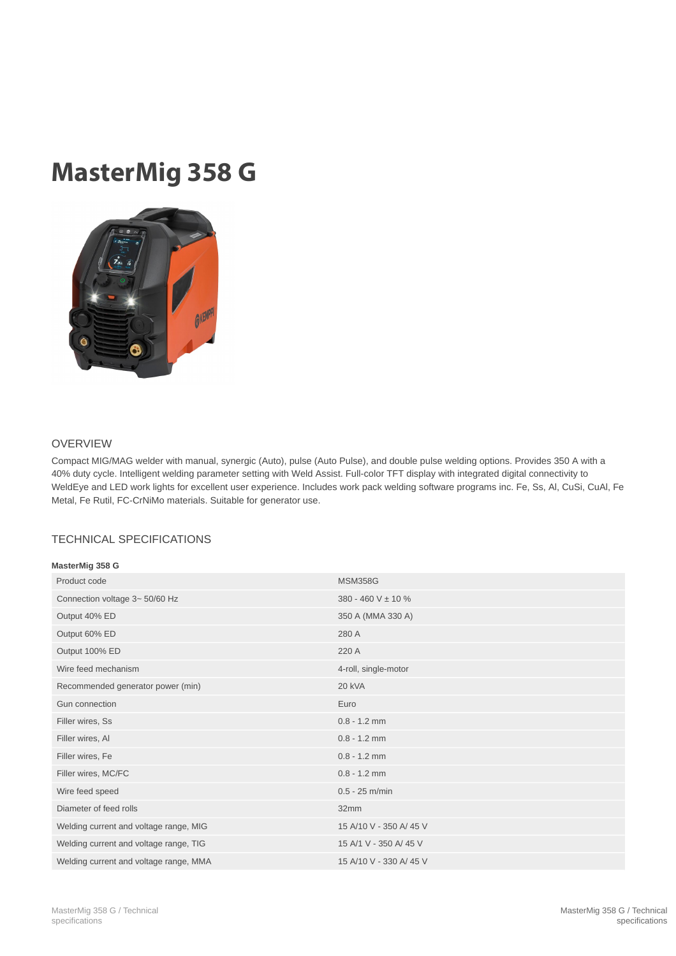## MasterMig 358 G



## OVERVIEW

Compact MIG/MAG welder with manual, synergic (Auto), pulse (Auto Pulse), and double pulse welding options. Provides 350 A with a 40% duty cycle. Intelligent welding parameter setting with Weld Assist. Full-color TFT display with integrated digital connectivity to WeldEye and LED work lights for excellent user experience. Includes work pack welding software programs inc. Fe, Ss, Al, CuSi, CuAl, Fe Metal, Fe Rutil, FC-CrNiMo materials. Suitable for generator use.

## TECHNICAL SPECIFICATIONS

| MasterMig 358 G                        |                        |
|----------------------------------------|------------------------|
| Product code                           | <b>MSM358G</b>         |
| Connection voltage 3~50/60 Hz          | 380 - 460 V ± 10 %     |
| Output 40% ED                          | 350 A (MMA 330 A)      |
| Output 60% ED                          | 280 A                  |
| Output 100% ED                         | 220 A                  |
| Wire feed mechanism                    | 4-roll, single-motor   |
| Recommended generator power (min)      | 20 kVA                 |
| Gun connection                         | Euro                   |
| Filler wires, Ss                       | $0.8 - 1.2$ mm         |
| Filler wires, Al                       | $0.8 - 1.2$ mm         |
| Filler wires, Fe                       | $0.8 - 1.2$ mm         |
| Filler wires, MC/FC                    | $0.8 - 1.2$ mm         |
| Wire feed speed                        | $0.5 - 25$ m/min       |
| Diameter of feed rolls                 | 32mm                   |
| Welding current and voltage range, MIG | 15 A/10 V - 350 A/45 V |
| Welding current and voltage range, TIG | 15 A/1 V - 350 A/45 V  |
| Welding current and voltage range, MMA | 15 A/10 V - 330 A/45 V |